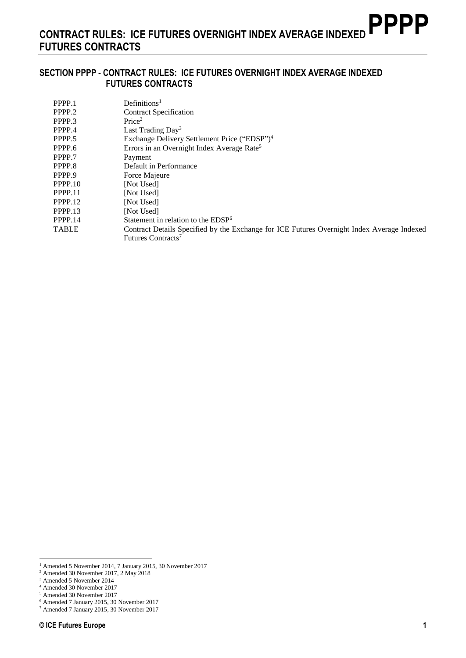#### **SECTION PPPP - CONTRACT RULES: ICE FUTURES OVERNIGHT INDEX AVERAGE INDEXED FUTURES CONTRACTS**

| PPPP.1       | Definition <sup>1</sup>                                                                    |
|--------------|--------------------------------------------------------------------------------------------|
| PPPP.2       | <b>Contract Specification</b>                                                              |
| PPPP.3       | Price <sup>2</sup>                                                                         |
| PPPP.4       | Last Trading $Day^3$                                                                       |
| PPPP.5       | Exchange Delivery Settlement Price ("EDSP") <sup>4</sup>                                   |
| PPPP.6       | Errors in an Overnight Index Average Rate <sup>5</sup>                                     |
| PPPP.7       | Payment                                                                                    |
| PPPP.8       | Default in Performance                                                                     |
| PPPP.9       | Force Majeure                                                                              |
| PPPP.10      | [Not Used]                                                                                 |
| PPPP.11      | [Not Used]                                                                                 |
| PPPP.12      | <b>Not Usedl</b>                                                                           |
| PPPP.13      | [Not Used]                                                                                 |
| PPPP.14      | Statement in relation to the EDSP <sup>6</sup>                                             |
| <b>TABLE</b> | Contract Details Specified by the Exchange for ICE Futures Overnight Index Average Indexed |
|              | Futures Contracts <sup>7</sup>                                                             |

<sup>1</sup> Amended 5 November 2014, 7 January 2015, 30 November 2017

<sup>2</sup> Amended 30 November 2017, 2 May 2018

<sup>&</sup>lt;sup>3</sup> Amended 5 November 2014 <sup>4</sup> Amended 30 November 2017

<sup>5</sup> Amended 30 November 2017

<sup>6</sup> Amended 7 January 2015, 30 November 2017

<sup>7</sup> Amended 7 January 2015, 30 November 2017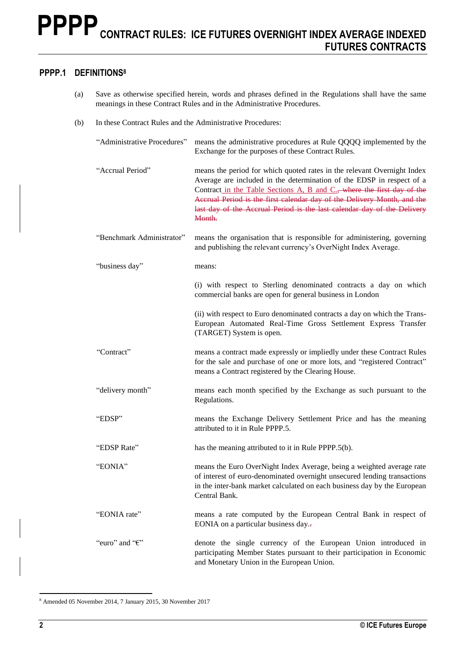### **PPPP.1 DEFINITIONS<sup>8</sup>**

- (a) Save as otherwise specified herein, words and phrases defined in the Regulations shall have the same meanings in these Contract Rules and in the Administrative Procedures.
- (b) In these Contract Rules and the Administrative Procedures:

| "Administrative Procedures" | means the administrative procedures at Rule QQQQ implemented by the<br>Exchange for the purposes of these Contract Rules.                                                                                                                                                                                                                                                                  |
|-----------------------------|--------------------------------------------------------------------------------------------------------------------------------------------------------------------------------------------------------------------------------------------------------------------------------------------------------------------------------------------------------------------------------------------|
| "Accrual Period"            | means the period for which quoted rates in the relevant Overnight Index<br>Average are included in the determination of the EDSP in respect of a<br>Contract in the Table Sections A, B and C., where the first day of the<br>Accrual Period is the first calendar day of the Delivery Month, and the<br>last day of the Accrual Period is the last calendar day of the Delivery<br>Month. |
| "Benchmark Administrator"   | means the organisation that is responsible for administering, governing<br>and publishing the relevant currency's OverNight Index Average.                                                                                                                                                                                                                                                 |
| "business day"              | means:                                                                                                                                                                                                                                                                                                                                                                                     |
|                             | (i) with respect to Sterling denominated contracts a day on which<br>commercial banks are open for general business in London                                                                                                                                                                                                                                                              |
|                             | (ii) with respect to Euro denominated contracts a day on which the Trans-<br>European Automated Real-Time Gross Settlement Express Transfer<br>(TARGET) System is open.                                                                                                                                                                                                                    |
| "Contract"                  | means a contract made expressly or impliedly under these Contract Rules<br>for the sale and purchase of one or more lots, and "registered Contract"<br>means a Contract registered by the Clearing House.                                                                                                                                                                                  |
| "delivery month"            | means each month specified by the Exchange as such pursuant to the<br>Regulations.                                                                                                                                                                                                                                                                                                         |
| "EDSP"                      | means the Exchange Delivery Settlement Price and has the meaning<br>attributed to it in Rule PPPP.5.                                                                                                                                                                                                                                                                                       |
| "EDSP Rate"                 | has the meaning attributed to it in Rule PPPP.5(b).                                                                                                                                                                                                                                                                                                                                        |
| "EONIA"                     | means the Euro OverNight Index Average, being a weighted average rate<br>of interest of euro-denominated overnight unsecured lending transactions<br>in the inter-bank market calculated on each business day by the European<br>Central Bank.                                                                                                                                             |
| "EONIA rate"                | means a rate computed by the European Central Bank in respect of<br>EONIA on a particular business day.-                                                                                                                                                                                                                                                                                   |
| "euro" and " $\epsilon$ "   | denote the single currency of the European Union introduced in<br>participating Member States pursuant to their participation in Economic<br>and Monetary Union in the European Union.                                                                                                                                                                                                     |

<sup>8</sup> Amended 05 November 2014, 7 January 2015, 30 November 2017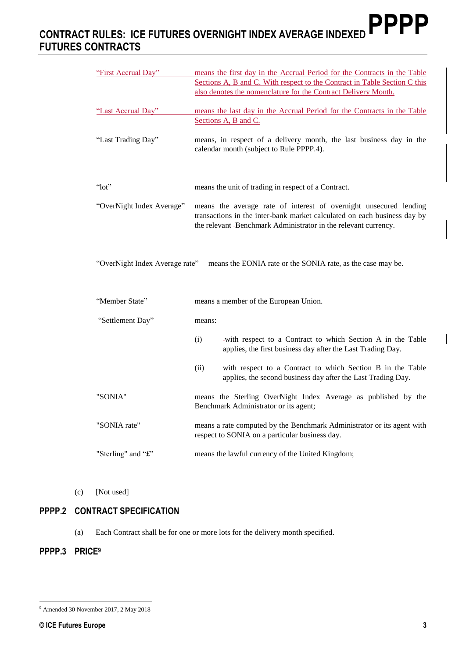| "First Accrual Day"            | means the first day in the Accrual Period for the Contracts in the Table<br>Sections A, B and C. With respect to the Contract in Table Section C this<br>also denotes the nomenclature for the Contract Delivery Month. |
|--------------------------------|-------------------------------------------------------------------------------------------------------------------------------------------------------------------------------------------------------------------------|
| "Last Accrual Day"             | means the last day in the Accrual Period for the Contracts in the Table<br>Sections A, B and C.                                                                                                                         |
| "Last Trading Day"             | means, in respect of a delivery month, the last business day in the<br>calendar month (subject to Rule PPPP.4).                                                                                                         |
| " $10t$ "                      | means the unit of trading in respect of a Contract.                                                                                                                                                                     |
| "OverNight Index Average"      | means the average rate of interest of overnight unsecured lending<br>transactions in the inter-bank market calculated on each business day by<br>the relevant -Benchmark Administrator in the relevant currency.        |
| "OverNight Index Average rate" | means the EONIA rate or the SONIA rate, as the case may be.                                                                                                                                                             |
| "Member State"                 | means a member of the European Union.                                                                                                                                                                                   |
| "Settlement Day"               | means:                                                                                                                                                                                                                  |
|                                | (i)<br>-with respect to a Contract to which Section A in the Table<br>applies, the first business day after the Last Trading Day.                                                                                       |
|                                | (ii)<br>with respect to a Contract to which Section B in the Table<br>applies, the second business day after the Last Trading Day.                                                                                      |
| "SONIA"                        | means the Sterling OverNight Index Average as published by the<br>Benchmark Administrator or its agent;                                                                                                                 |
| "SONIA rate"                   | means a rate computed by the Benchmark Administrator or its agent with<br>respect to SONIA on a particular business day.                                                                                                |
| "Sterling" and "£"             | means the lawful currency of the United Kingdom;                                                                                                                                                                        |

(c) [Not used]

## **PPPP.2 CONTRACT SPECIFICATION**

(a) Each Contract shall be for one or more lots for the delivery month specified.

#### **PPPP.3 PRICE<sup>9</sup>**

<sup>9</sup> Amended 30 November 2017, 2 May 2018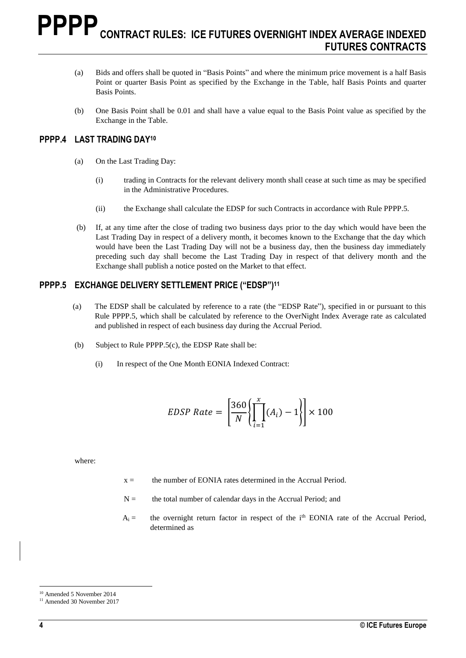- (a) Bids and offers shall be quoted in "Basis Points" and where the minimum price movement is a half Basis Point or quarter Basis Point as specified by the Exchange in the Table, half Basis Points and quarter Basis Points.
- (b) One Basis Point shall be 0.01 and shall have a value equal to the Basis Point value as specified by the Exchange in the Table.

#### **PPPP.4 LAST TRADING DAY<sup>10</sup>**

- (a) On the Last Trading Day:
	- (i) trading in Contracts for the relevant delivery month shall cease at such time as may be specified in the Administrative Procedures.
	- (ii) the Exchange shall calculate the EDSP for such Contracts in accordance with Rule PPPP.5.
- (b) If, at any time after the close of trading two business days prior to the day which would have been the Last Trading Day in respect of a delivery month, it becomes known to the Exchange that the day which would have been the Last Trading Day will not be a business day, then the business day immediately preceding such day shall become the Last Trading Day in respect of that delivery month and the Exchange shall publish a notice posted on the Market to that effect.

#### **PPPP.5 EXCHANGE DELIVERY SETTLEMENT PRICE ("EDSP") 11**

- (a) The EDSP shall be calculated by reference to a rate (the "EDSP Rate"), specified in or pursuant to this Rule PPPP.5, which shall be calculated by reference to the OverNight Index Average rate as calculated and published in respect of each business day during the Accrual Period.
- (b) Subject to Rule PPPP.5(c), the EDSP Rate shall be:
	- (i) In respect of the One Month EONIA Indexed Contract:

$$
EDSP Rate = \left[\frac{360}{N} \left\{ \prod_{i=1}^{x} (A_i) - 1 \right\} \right] \times 100
$$

where:

- $x =$  the number of EONIA rates determined in the Accrual Period.
- $N =$  the total number of calendar days in the Accrual Period; and
- $A_i =$  the overnight return factor in respect of the i<sup>th</sup> EONIA rate of the Accrual Period, determined as

 $\overline{a}$ <sup>10</sup> Amended 5 November 2014

<sup>&</sup>lt;sup>11</sup> Amended 30 November 2017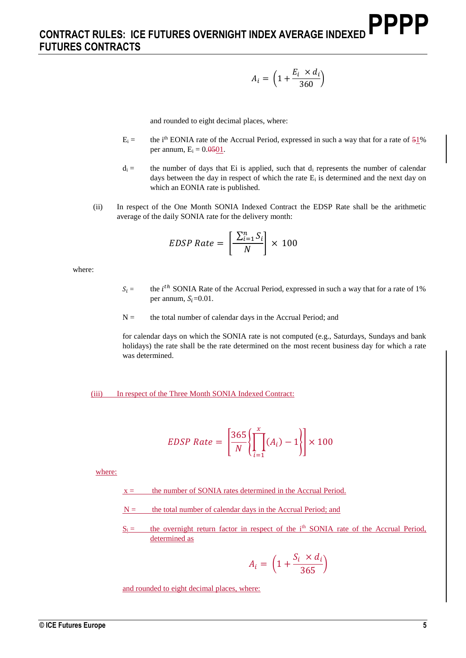$$
A_i = \left(1 + \frac{E_i \times d_i}{360}\right)
$$

and rounded to eight decimal places, where:

- $E_i =$  the i<sup>th</sup> EONIA rate of the Accrual Period, expressed in such a way that for a rate of  $51\%$ per annum,  $E_i = 0.0501$ .
- $d_i =$  the number of days that Ei is applied, such that  $d_i$  represents the number of calendar days between the day in respect of which the rate  $E_i$  is determined and the next day on which an EONIA rate is published.
- (ii) In respect of the One Month SONIA Indexed Contract the EDSP Rate shall be the arithmetic average of the daily SONIA rate for the delivery month:

$$
EDSP Rate = \left[\frac{\sum_{i=1}^{n} S_i}{N}\right] \times 100
$$

where:

- $S_i =$  the *i*<sup>th</sup> SONIA Rate of the Accrual Period, expressed in such a way that for a rate of 1% per annum,  $S_i=0.01$ .
- $N =$  the total number of calendar days in the Accrual Period; and

for calendar days on which the SONIA rate is not computed (e.g., Saturdays, Sundays and bank holidays) the rate shall be the rate determined on the most recent business day for which a rate was determined.

#### (iii) In respect of the Three Month SONIA Indexed Contract:

$$
EDSP Rate = \left[\frac{365}{N} \left\{ \prod_{i=1}^{x} (A_i) - 1 \right\} \right] \times 100
$$

where:

- $x =$  the number of SONIA rates determined in the Accrual Period.
- $N =$  the total number of calendar days in the Accrual Period; and
- $S_i =$  the overnight return factor in respect of the i<sup>th</sup> SONIA rate of the Accrual Period, determined as

$$
A_i = \left(1 + \frac{S_i \times d_i}{365}\right)
$$

and rounded to eight decimal places, where: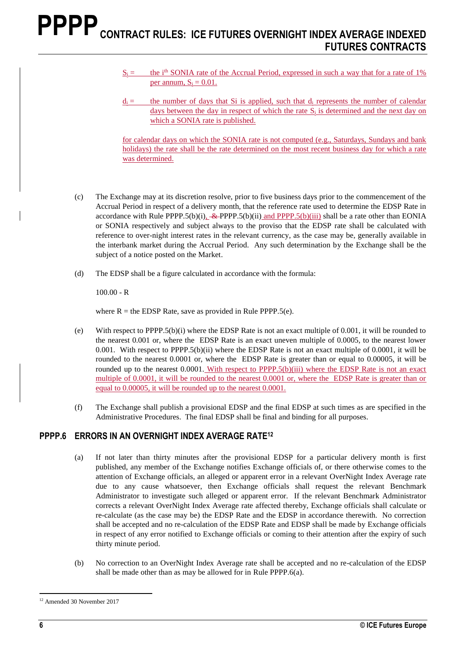$S_i =$  the i<sup>th</sup> SONIA rate of the Accrual Period, expressed in such a way that for a rate of 1% per annum,  $S_i = 0.01$ .

for calendar days on which the SONIA rate is not computed (e.g., Saturdays, Sundays and bank holidays) the rate shall be the rate determined on the most recent business day for which a rate was determined.

- (c) The Exchange may at its discretion resolve, prior to five business days prior to the commencement of the Accrual Period in respect of a delivery month, that the reference rate used to determine the EDSP Rate in accordance with Rule PPPP.5(b)(i),  $\&$ -PPPP.5(b)(ii) and PPPP.5(b)(iii) shall be a rate other than EONIA or SONIA respectively and subject always to the proviso that the EDSP rate shall be calculated with reference to over-night interest rates in the relevant currency, as the case may be, generally available in the interbank market during the Accrual Period. Any such determination by the Exchange shall be the subject of a notice posted on the Market.
- (d) The EDSP shall be a figure calculated in accordance with the formula:

 $100.00 - R$ 

where  $R =$  the EDSP Rate, save as provided in Rule PPPP.5(e).

- (e) With respect to PPPP.5(b)(i) where the EDSP Rate is not an exact multiple of 0.001, it will be rounded to the nearest 0.001 or, where the EDSP Rate is an exact uneven multiple of 0.0005, to the nearest lower 0.001. With respect to PPPP.5(b)(ii) where the EDSP Rate is not an exact multiple of 0.0001, it will be rounded to the nearest 0.0001 or, where the EDSP Rate is greater than or equal to 0.00005, it will be rounded up to the nearest 0.0001. With respect to PPPP.5(b)(iii) where the EDSP Rate is not an exact multiple of 0.0001, it will be rounded to the nearest 0.0001 or, where the EDSP Rate is greater than or equal to 0.00005, it will be rounded up to the nearest 0.0001.
- (f) The Exchange shall publish a provisional EDSP and the final EDSP at such times as are specified in the Administrative Procedures. The final EDSP shall be final and binding for all purposes.

#### **PPPP.6 ERRORS IN AN OVERNIGHT INDEX AVERAGE RATE<sup>12</sup>**

- (a) If not later than thirty minutes after the provisional EDSP for a particular delivery month is first published, any member of the Exchange notifies Exchange officials of, or there otherwise comes to the attention of Exchange officials, an alleged or apparent error in a relevant OverNight Index Average rate due to any cause whatsoever, then Exchange officials shall request the relevant Benchmark Administrator to investigate such alleged or apparent error. If the relevant Benchmark Administrator corrects a relevant OverNight Index Average rate affected thereby, Exchange officials shall calculate or re-calculate (as the case may be) the EDSP Rate and the EDSP in accordance therewith. No correction shall be accepted and no re-calculation of the EDSP Rate and EDSP shall be made by Exchange officials in respect of any error notified to Exchange officials or coming to their attention after the expiry of such thirty minute period.
- (b) No correction to an OverNight Index Average rate shall be accepted and no re-calculation of the EDSP shall be made other than as may be allowed for in Rule PPPP.6(a).

 $d_i =$  the number of days that Si is applied, such that  $d_i$  represents the number of calendar days between the day in respect of which the rate  $S_i$  is determined and the next day on which a SONIA rate is published.

 $\overline{a}$ <sup>12</sup> Amended 30 November 2017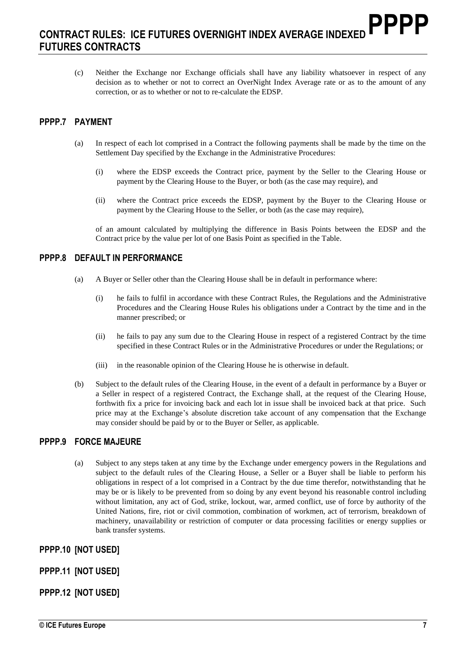(c) Neither the Exchange nor Exchange officials shall have any liability whatsoever in respect of any decision as to whether or not to correct an OverNight Index Average rate or as to the amount of any correction, or as to whether or not to re-calculate the EDSP.

### **PPPP.7 PAYMENT**

- (a) In respect of each lot comprised in a Contract the following payments shall be made by the time on the Settlement Day specified by the Exchange in the Administrative Procedures:
	- (i) where the EDSP exceeds the Contract price, payment by the Seller to the Clearing House or payment by the Clearing House to the Buyer, or both (as the case may require), and
	- (ii) where the Contract price exceeds the EDSP, payment by the Buyer to the Clearing House or payment by the Clearing House to the Seller, or both (as the case may require),

of an amount calculated by multiplying the difference in Basis Points between the EDSP and the Contract price by the value per lot of one Basis Point as specified in the Table.

#### **PPPP.8 DEFAULT IN PERFORMANCE**

- (a) A Buyer or Seller other than the Clearing House shall be in default in performance where:
	- (i) he fails to fulfil in accordance with these Contract Rules, the Regulations and the Administrative Procedures and the Clearing House Rules his obligations under a Contract by the time and in the manner prescribed; or
	- (ii) he fails to pay any sum due to the Clearing House in respect of a registered Contract by the time specified in these Contract Rules or in the Administrative Procedures or under the Regulations; or
	- (iii) in the reasonable opinion of the Clearing House he is otherwise in default.
- (b) Subject to the default rules of the Clearing House, in the event of a default in performance by a Buyer or a Seller in respect of a registered Contract, the Exchange shall, at the request of the Clearing House, forthwith fix a price for invoicing back and each lot in issue shall be invoiced back at that price. Such price may at the Exchange's absolute discretion take account of any compensation that the Exchange may consider should be paid by or to the Buyer or Seller, as applicable.

#### **PPPP.9 FORCE MAJEURE**

(a) Subject to any steps taken at any time by the Exchange under emergency powers in the Regulations and subject to the default rules of the Clearing House, a Seller or a Buyer shall be liable to perform his obligations in respect of a lot comprised in a Contract by the due time therefor, notwithstanding that he may be or is likely to be prevented from so doing by any event beyond his reasonable control including without limitation, any act of God, strike, lockout, war, armed conflict, use of force by authority of the United Nations, fire, riot or civil commotion, combination of workmen, act of terrorism, breakdown of machinery, unavailability or restriction of computer or data processing facilities or energy supplies or bank transfer systems.

#### **PPPP.10 [NOT USED]**

#### **PPPP.11 [NOT USED]**

#### **PPPP.12 [NOT USED]**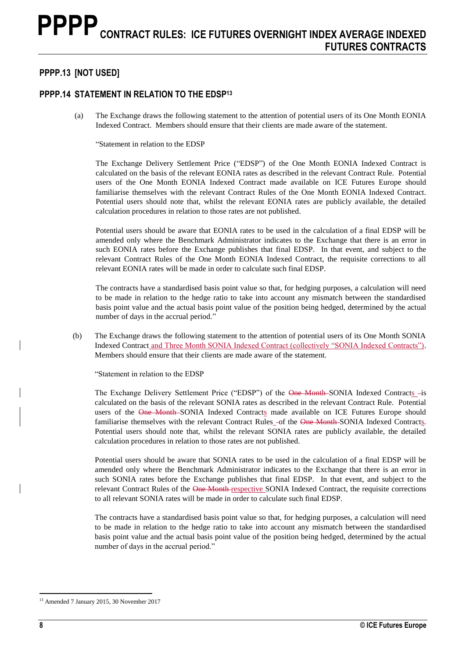## **PPPP.13 [NOT USED]**

### **PPPP.14 STATEMENT IN RELATION TO THE EDSP<sup>13</sup>**

(a) The Exchange draws the following statement to the attention of potential users of its One Month EONIA Indexed Contract. Members should ensure that their clients are made aware of the statement.

"Statement in relation to the EDSP

The Exchange Delivery Settlement Price ("EDSP") of the One Month EONIA Indexed Contract is calculated on the basis of the relevant EONIA rates as described in the relevant Contract Rule. Potential users of the One Month EONIA Indexed Contract made available on ICE Futures Europe should familiarise themselves with the relevant Contract Rules of the One Month EONIA Indexed Contract. Potential users should note that, whilst the relevant EONIA rates are publicly available, the detailed calculation procedures in relation to those rates are not published.

Potential users should be aware that EONIA rates to be used in the calculation of a final EDSP will be amended only where the Benchmark Administrator indicates to the Exchange that there is an error in such EONIA rates before the Exchange publishes that final EDSP. In that event, and subject to the relevant Contract Rules of the One Month EONIA Indexed Contract, the requisite corrections to all relevant EONIA rates will be made in order to calculate such final EDSP.

The contracts have a standardised basis point value so that, for hedging purposes, a calculation will need to be made in relation to the hedge ratio to take into account any mismatch between the standardised basis point value and the actual basis point value of the position being hedged, determined by the actual number of days in the accrual period."

(b) The Exchange draws the following statement to the attention of potential users of its One Month SONIA Indexed Contract and Three Month SONIA Indexed Contract (collectively "SONIA Indexed Contracts"). Members should ensure that their clients are made aware of the statement.

"Statement in relation to the EDSP

The Exchange Delivery Settlement Price ("EDSP") of the One Month-SONIA Indexed Contracts -is calculated on the basis of the relevant SONIA rates as described in the relevant Contract Rule. Potential users of the One Month-SONIA Indexed Contracts made available on ICE Futures Europe should familiarise themselves with the relevant Contract Rules\_-of the One Month-SONIA Indexed Contracts. Potential users should note that, whilst the relevant SONIA rates are publicly available, the detailed calculation procedures in relation to those rates are not published.

Potential users should be aware that SONIA rates to be used in the calculation of a final EDSP will be amended only where the Benchmark Administrator indicates to the Exchange that there is an error in such SONIA rates before the Exchange publishes that final EDSP. In that event, and subject to the relevant Contract Rules of the One Month respective SONIA Indexed Contract, the requisite corrections to all relevant SONIA rates will be made in order to calculate such final EDSP.

The contracts have a standardised basis point value so that, for hedging purposes, a calculation will need to be made in relation to the hedge ratio to take into account any mismatch between the standardised basis point value and the actual basis point value of the position being hedged, determined by the actual number of days in the accrual period."

<sup>13</sup> Amended 7 January 2015, 30 November 2017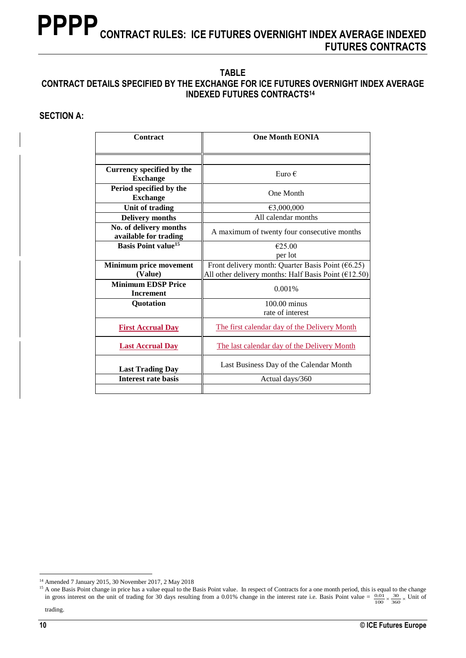#### **TABLE CONTRACT DETAILS SPECIFIED BY THE EXCHANGE FOR ICE FUTURES OVERNIGHT INDEX AVERAGE INDEXED FUTURES CONTRACTS<sup>14</sup>**

### **SECTION A:**

| Contract                                        | <b>One Month EONIA</b>                                                                                         |
|-------------------------------------------------|----------------------------------------------------------------------------------------------------------------|
|                                                 |                                                                                                                |
| Currency specified by the<br><b>Exchange</b>    | Euro $\epsilon$                                                                                                |
| Period specified by the<br><b>Exchange</b>      | One Month                                                                                                      |
| Unit of trading                                 | €3,000,000                                                                                                     |
| <b>Delivery months</b>                          | All calendar months                                                                                            |
| No. of delivery months<br>available for trading | A maximum of twenty four consecutive months                                                                    |
| <b>Basis Point value</b> <sup>15</sup>          | €25.00                                                                                                         |
|                                                 | per lot                                                                                                        |
| <b>Minimum price movement</b><br>(Value)        | Front delivery month: Quarter Basis Point $(6.25)$<br>All other delivery months: Half Basis Point ( $E$ 12.50) |
| <b>Minimum EDSP Price</b><br><b>Increment</b>   | 0.001%                                                                                                         |
| <b>Quotation</b>                                | $100.00$ minus                                                                                                 |
|                                                 | rate of interest                                                                                               |
| <b>First Accrual Day</b>                        | The first calendar day of the Delivery Month                                                                   |
| <b>Last Accrual Day</b>                         | The last calendar day of the Delivery Month                                                                    |
| <b>Last Trading Day</b>                         | Last Business Day of the Calendar Month                                                                        |
| <b>Interest rate basis</b>                      | Actual days/360                                                                                                |
|                                                 |                                                                                                                |

 $\overline{a}$ <sup>14</sup> Amended 7 January 2015, 30 November 2017, 2 May 2018

<sup>&</sup>lt;sup>15</sup> A one Basis Point change in price has a value equal to the Basis Point value. In respect of Contracts for a one month period, this is equal to the change in gross interest on the unit of trading for 30 days resulting from a 0.01% change in the interest rate i.e. Basis Point value =  $\frac{0.01}{100} \times \frac{30}{360} \times$  Unit of trading. 100 30 360  $\frac{.01}{.02} \times \frac{30}{200} \times$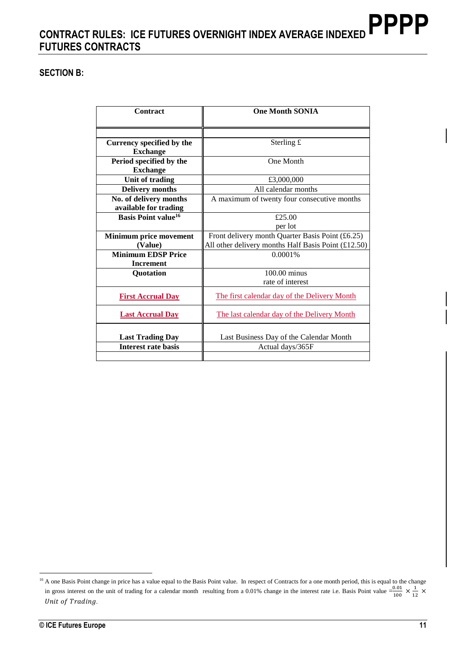### **SECTION B:**

| Contract                                     | <b>One Month SONIA</b>                              |
|----------------------------------------------|-----------------------------------------------------|
|                                              |                                                     |
| Currency specified by the<br><b>Exchange</b> | Sterling £                                          |
| Period specified by the<br><b>Exchange</b>   | One Month                                           |
| Unit of trading                              | £3,000,000                                          |
| <b>Delivery months</b>                       | All calendar months                                 |
| No. of delivery months                       | A maximum of twenty four consecutive months         |
| available for trading                        |                                                     |
| <b>Basis Point value</b> <sup>16</sup>       | £25.00                                              |
|                                              | per lot                                             |
| <b>Minimum price movement</b>                | Front delivery month Quarter Basis Point $(f6.25)$  |
| (Value)                                      | All other delivery months Half Basis Point (£12.50) |
| <b>Minimum EDSP Price</b>                    | 0.0001%                                             |
| <b>Increment</b>                             |                                                     |
| <b>Quotation</b>                             | $100.00$ minus                                      |
|                                              | rate of interest                                    |
| <b>First Accrual Day</b>                     | The first calendar day of the Delivery Month        |
| <b>Last Accrual Day</b>                      | The last calendar day of the Delivery Month         |
| <b>Last Trading Day</b>                      | Last Business Day of the Calendar Month             |
| <b>Interest rate basis</b>                   | Actual days/365F                                    |
|                                              |                                                     |

<sup>&</sup>lt;sup>16</sup> A one Basis Point change in price has a value equal to the Basis Point value. In respect of Contracts for a one month period, this is equal to the change in gross interest on the unit of trading for a calendar month resulting from a 0.01% change in the interest rate i.e. Basis Point value  $=\frac{0.01}{4.00}$  $\frac{0.01}{100} \times \frac{1}{11}$  $rac{1}{12}$   $\times$ Unit of Trading.